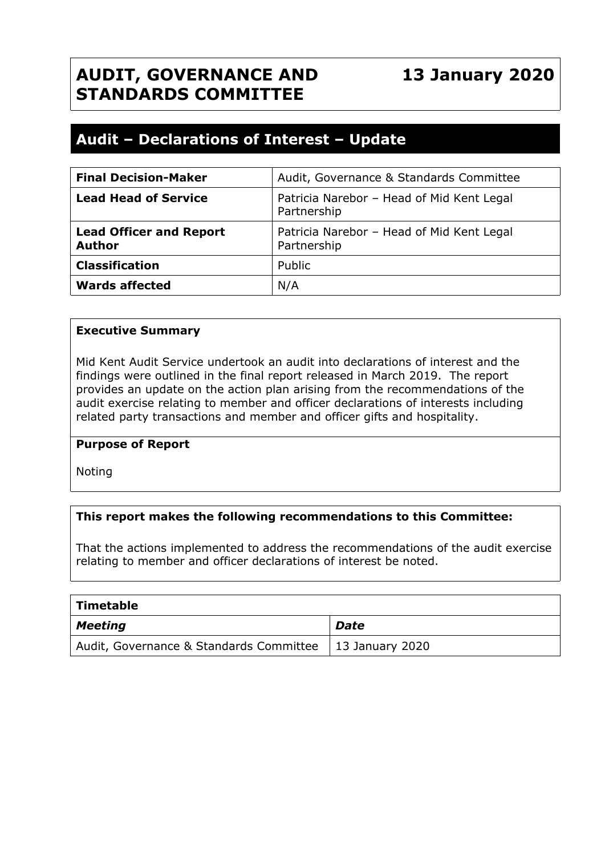## **AUDIT, GOVERNANCE AND STANDARDS COMMITTEE**

# **13 January 2020**

### **Audit – Declarations of Interest – Update**

| <b>Final Decision-Maker</b>                     | Audit, Governance & Standards Committee                  |
|-------------------------------------------------|----------------------------------------------------------|
| <b>Lead Head of Service</b>                     | Patricia Narebor - Head of Mid Kent Legal<br>Partnership |
| <b>Lead Officer and Report</b><br><b>Author</b> | Patricia Narebor - Head of Mid Kent Legal<br>Partnership |
| <b>Classification</b>                           | Public                                                   |
| <b>Wards affected</b>                           | N/A                                                      |

#### **Executive Summary**

Mid Kent Audit Service undertook an audit into declarations of interest and the findings were outlined in the final report released in March 2019. The report provides an update on the action plan arising from the recommendations of the audit exercise relating to member and officer declarations of interests including related party transactions and member and officer gifts and hospitality.

#### **Purpose of Report**

Noting

#### **This report makes the following recommendations to this Committee:**

That the actions implemented to address the recommendations of the audit exercise relating to member and officer declarations of interest be noted.

| Timetable                                                 |      |
|-----------------------------------------------------------|------|
| Meeting                                                   | Date |
| Audit, Governance & Standards Committee   13 January 2020 |      |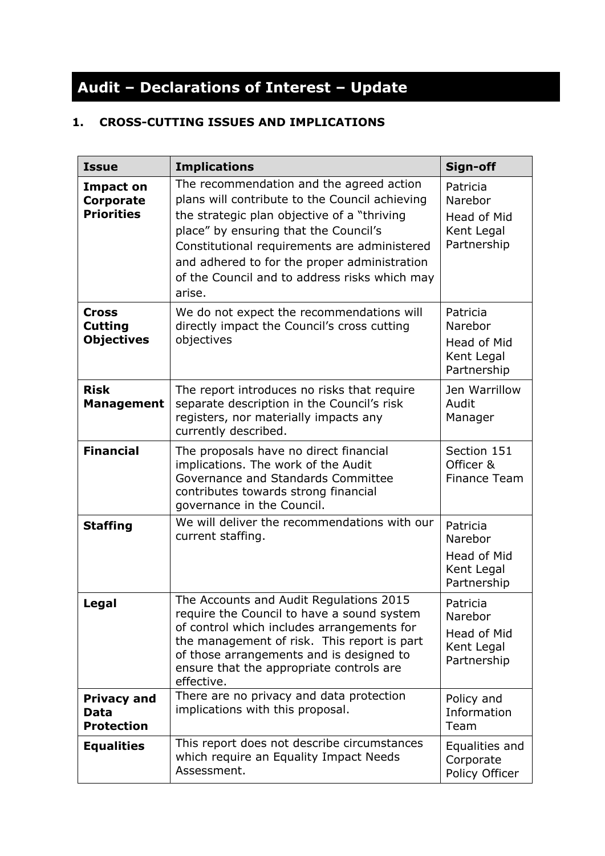# **Audit – Declarations of Interest – Update**

#### **1. CROSS-CUTTING ISSUES AND IMPLICATIONS**

| <b>Issue</b>                                           | <b>Implications</b>                                                                                                                                                                                                                                                                                                                            | Sign-off                                                               |
|--------------------------------------------------------|------------------------------------------------------------------------------------------------------------------------------------------------------------------------------------------------------------------------------------------------------------------------------------------------------------------------------------------------|------------------------------------------------------------------------|
| <b>Impact on</b><br>Corporate<br><b>Priorities</b>     | The recommendation and the agreed action<br>plans will contribute to the Council achieving<br>the strategic plan objective of a "thriving"<br>place" by ensuring that the Council's<br>Constitutional requirements are administered<br>and adhered to for the proper administration<br>of the Council and to address risks which may<br>arise. | Patricia<br>Narebor<br><b>Head of Mid</b><br>Kent Legal<br>Partnership |
| <b>Cross</b><br><b>Cutting</b><br><b>Objectives</b>    | We do not expect the recommendations will<br>directly impact the Council's cross cutting<br>objectives                                                                                                                                                                                                                                         | Patricia<br>Narebor<br>Head of Mid<br>Kent Legal<br>Partnership        |
| <b>Risk</b><br><b>Management</b>                       | The report introduces no risks that require<br>separate description in the Council's risk<br>registers, nor materially impacts any<br>currently described.                                                                                                                                                                                     | Jen Warrillow<br>Audit<br>Manager                                      |
| <b>Financial</b>                                       | The proposals have no direct financial<br>implications. The work of the Audit<br>Governance and Standards Committee<br>contributes towards strong financial<br>governance in the Council.                                                                                                                                                      | Section 151<br>Officer &<br><b>Finance Team</b>                        |
| <b>Staffing</b>                                        | We will deliver the recommendations with our<br>current staffing.                                                                                                                                                                                                                                                                              | Patricia<br>Narebor<br>Head of Mid<br>Kent Legal<br>Partnership        |
| Legal                                                  | The Accounts and Audit Regulations 2015<br>require the Council to have a sound system<br>of control which includes arrangements for<br>the management of risk. This report is part<br>of those arrangements and is designed to<br>ensure that the appropriate controls are<br>effective.                                                       | Patricia<br>Narebor<br>Head of Mid<br>Kent Legal<br>Partnership        |
| <b>Privacy and</b><br><b>Data</b><br><b>Protection</b> | There are no privacy and data protection<br>implications with this proposal.                                                                                                                                                                                                                                                                   | Policy and<br>Information<br>Team                                      |
| <b>Equalities</b>                                      | This report does not describe circumstances<br>which require an Equality Impact Needs<br>Assessment.                                                                                                                                                                                                                                           | Equalities and<br>Corporate<br>Policy Officer                          |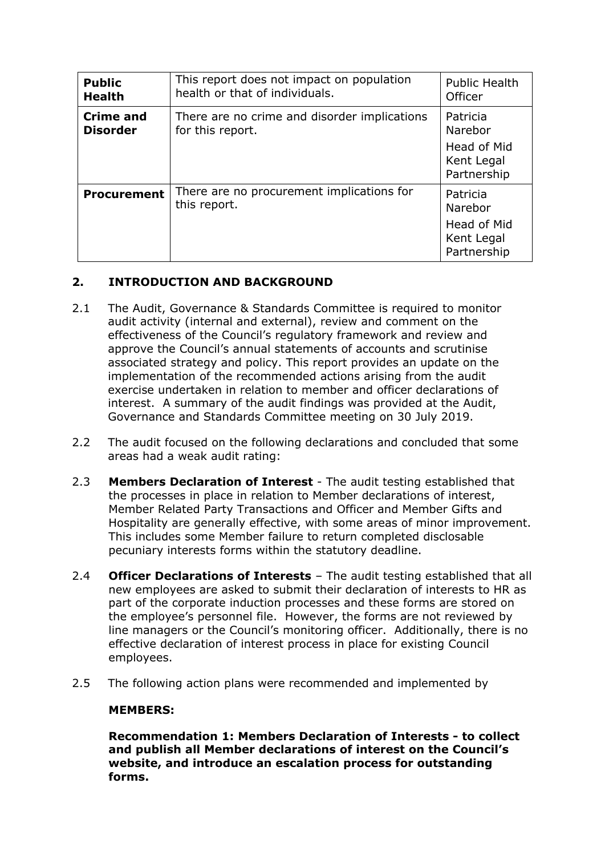| <b>Public</b><br><b>Health</b>      | This report does not impact on population<br>health or that of individuals. | <b>Public Health</b><br>Officer          |
|-------------------------------------|-----------------------------------------------------------------------------|------------------------------------------|
| <b>Crime and</b><br><b>Disorder</b> | There are no crime and disorder implications<br>for this report.            | Patricia<br>Narebor                      |
|                                     |                                                                             | Head of Mid<br>Kent Legal<br>Partnership |
| <b>Procurement</b>                  | There are no procurement implications for<br>this report.                   | Patricia<br>Narebor                      |
|                                     |                                                                             | Head of Mid<br>Kent Legal<br>Partnership |

#### **2. INTRODUCTION AND BACKGROUND**

- 2.1 The Audit, Governance & Standards Committee is required to monitor audit activity (internal and external), review and comment on the effectiveness of the Council's regulatory framework and review and approve the Council's annual statements of accounts and scrutinise associated strategy and policy. This report provides an update on the implementation of the recommended actions arising from the audit exercise undertaken in relation to member and officer declarations of interest. A summary of the audit findings was provided at the Audit, Governance and Standards Committee meeting on 30 July 2019.
- 2.2 The audit focused on the following declarations and concluded that some areas had a weak audit rating:
- 2.3 **Members Declaration of Interest** The audit testing established that the processes in place in relation to Member declarations of interest, Member Related Party Transactions and Officer and Member Gifts and Hospitality are generally effective, with some areas of minor improvement. This includes some Member failure to return completed disclosable pecuniary interests forms within the statutory deadline.
- 2.4 **Officer Declarations of Interests** The audit testing established that all new employees are asked to submit their declaration of interests to HR as part of the corporate induction processes and these forms are stored on the employee's personnel file. However, the forms are not reviewed by line managers or the Council's monitoring officer. Additionally, there is no effective declaration of interest process in place for existing Council employees.
- 2.5 The following action plans were recommended and implemented by

#### **MEMBERS:**

**Recommendation 1: Members Declaration of Interests - to collect and publish all Member declarations of interest on the Council's website, and introduce an escalation process for outstanding forms.**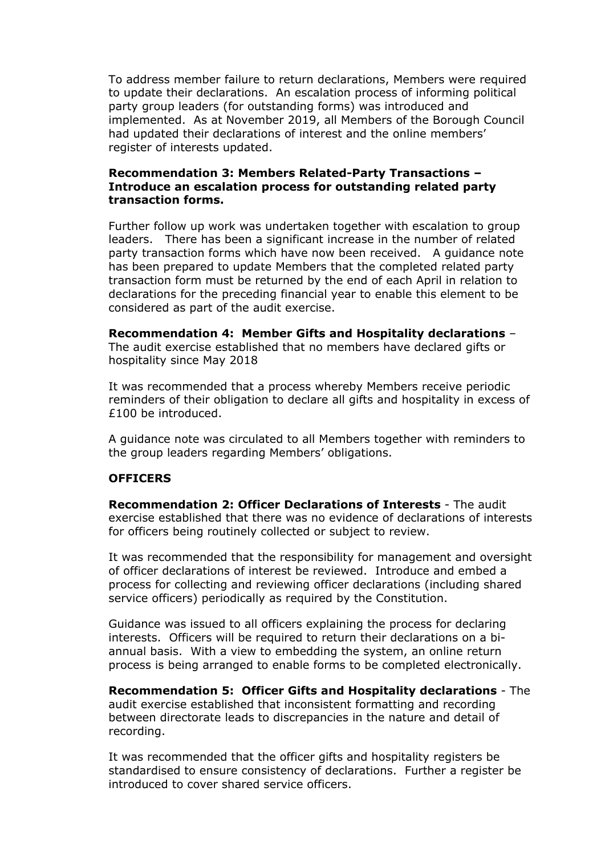To address member failure to return declarations, Members were required to update their declarations. An escalation process of informing political party group leaders (for outstanding forms) was introduced and implemented. As at November 2019, all Members of the Borough Council had updated their declarations of interest and the online members' register of interests updated.

#### **Recommendation 3: Members Related-Party Transactions – Introduce an escalation process for outstanding related party transaction forms.**

Further follow up work was undertaken together with escalation to group leaders. There has been a significant increase in the number of related party transaction forms which have now been received. A guidance note has been prepared to update Members that the completed related party transaction form must be returned by the end of each April in relation to declarations for the preceding financial year to enable this element to be considered as part of the audit exercise.

**Recommendation 4: Member Gifts and Hospitality declarations** – The audit exercise established that no members have declared gifts or hospitality since May 2018

It was recommended that a process whereby Members receive periodic reminders of their obligation to declare all gifts and hospitality in excess of £100 be introduced.

A guidance note was circulated to all Members together with reminders to the group leaders regarding Members' obligations.

#### **OFFICERS**

**Recommendation 2: Officer Declarations of Interests** - The audit exercise established that there was no evidence of declarations of interests for officers being routinely collected or subject to review.

It was recommended that the responsibility for management and oversight of officer declarations of interest be reviewed. Introduce and embed a process for collecting and reviewing officer declarations (including shared service officers) periodically as required by the Constitution.

Guidance was issued to all officers explaining the process for declaring interests. Officers will be required to return their declarations on a biannual basis. With a view to embedding the system, an online return process is being arranged to enable forms to be completed electronically.

**Recommendation 5: Officer Gifts and Hospitality declarations** - The audit exercise established that inconsistent formatting and recording between directorate leads to discrepancies in the nature and detail of recording.

It was recommended that the officer gifts and hospitality registers be standardised to ensure consistency of declarations. Further a register be introduced to cover shared service officers.